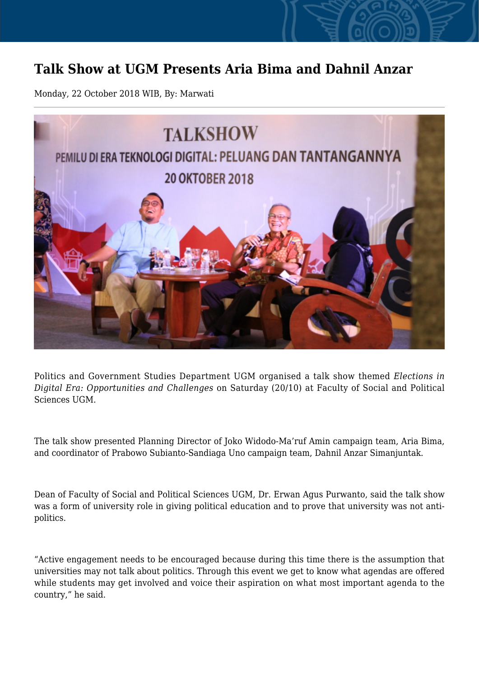## **Talk Show at UGM Presents Aria Bima and Dahnil Anzar**

Monday, 22 October 2018 WIB, By: Marwati



Politics and Government Studies Department UGM organised a talk show themed *Elections in Digital Era: Opportunities and Challenges* on Saturday (20/10) at Faculty of Social and Political Sciences UGM.

The talk show presented Planning Director of Joko Widodo-Ma'ruf Amin campaign team, Aria Bima, and coordinator of Prabowo Subianto-Sandiaga Uno campaign team, Dahnil Anzar Simanjuntak.

Dean of Faculty of Social and Political Sciences UGM, Dr. Erwan Agus Purwanto, said the talk show was a form of university role in giving political education and to prove that university was not antipolitics.

"Active engagement needs to be encouraged because during this time there is the assumption that universities may not talk about politics. Through this event we get to know what agendas are offered while students may get involved and voice their aspiration on what most important agenda to the country," he said.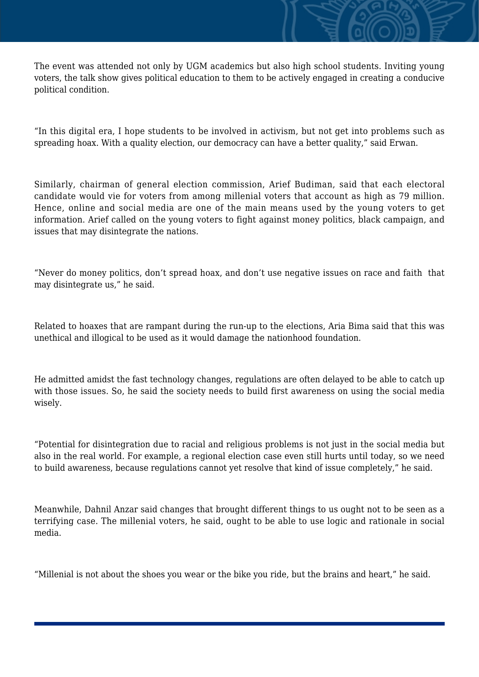The event was attended not only by UGM academics but also high school students. Inviting young voters, the talk show gives political education to them to be actively engaged in creating a conducive political condition.

"In this digital era, I hope students to be involved in activism, but not get into problems such as spreading hoax. With a quality election, our democracy can have a better quality," said Erwan.

Similarly, chairman of general election commission, Arief Budiman, said that each electoral candidate would vie for voters from among millenial voters that account as high as 79 million. Hence, online and social media are one of the main means used by the young voters to get information. Arief called on the young voters to fight against money politics, black campaign, and issues that may disintegrate the nations.

"Never do money politics, don't spread hoax, and don't use negative issues on race and faith that may disintegrate us," he said.

Related to hoaxes that are rampant during the run-up to the elections, Aria Bima said that this was unethical and illogical to be used as it would damage the nationhood foundation.

He admitted amidst the fast technology changes, regulations are often delayed to be able to catch up with those issues. So, he said the society needs to build first awareness on using the social media wisely.

"Potential for disintegration due to racial and religious problems is not just in the social media but also in the real world. For example, a regional election case even still hurts until today, so we need to build awareness, because regulations cannot yet resolve that kind of issue completely," he said.

Meanwhile, Dahnil Anzar said changes that brought different things to us ought not to be seen as a terrifying case. The millenial voters, he said, ought to be able to use logic and rationale in social media.

"Millenial is not about the shoes you wear or the bike you ride, but the brains and heart," he said.